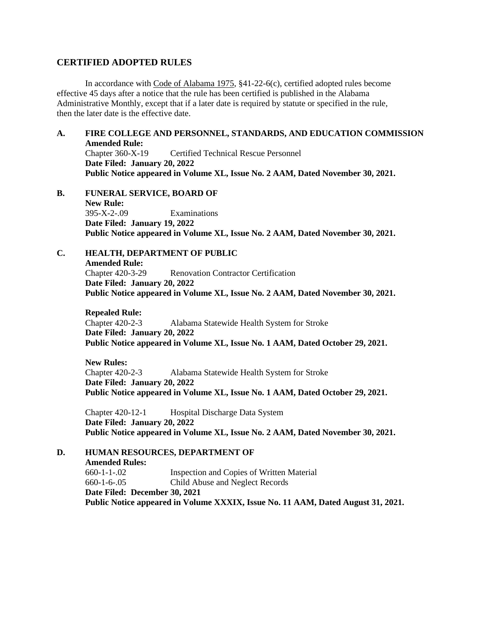## **CERTIFIED ADOPTED RULES**

In accordance with Code of Alabama 1975, §41-22-6(c), certified adopted rules become effective 45 days after a notice that the rule has been certified is published in the Alabama Administrative Monthly, except that if a later date is required by statute or specified in the rule, then the later date is the effective date.

# **A. FIRE COLLEGE AND PERSONNEL, STANDARDS, AND EDUCATION COMMISSION Amended Rule:**

Chapter 360-X-19 Certified Technical Rescue Personnel **Date Filed: January 20, 2022 Public Notice appeared in Volume XL, Issue No. 2 AAM, Dated November 30, 2021.**

**B. FUNERAL SERVICE, BOARD OF New Rule:** 395-X-2-.09 Examinations **Date Filed: January 19, 2022 Public Notice appeared in Volume XL, Issue No. 2 AAM, Dated November 30, 2021.**

**C. HEALTH, DEPARTMENT OF PUBLIC Amended Rule:** Chapter 420-3-29 Renovation Contractor Certification **Date Filed: January 20, 2022 Public Notice appeared in Volume XL, Issue No. 2 AAM, Dated November 30, 2021.**

**Repealed Rule:** Chapter 420-2-3 Alabama Statewide Health System for Stroke **Date Filed: January 20, 2022 Public Notice appeared in Volume XL, Issue No. 1 AAM, Dated October 29, 2021.**

**New Rules:** Chapter 420-2-3 Alabama Statewide Health System for Stroke **Date Filed: January 20, 2022 Public Notice appeared in Volume XL, Issue No. 1 AAM, Dated October 29, 2021.**

Chapter 420-12-1 Hospital Discharge Data System **Date Filed: January 20, 2022 Public Notice appeared in Volume XL, Issue No. 2 AAM, Dated November 30, 2021.**

**D. HUMAN RESOURCES, DEPARTMENT OF Amended Rules:** 660-1-1-.02 Inspection and Copies of Written Material 660-1-6-.05 Child Abuse and Neglect Records **Date Filed: December 30, 2021 Public Notice appeared in Volume XXXIX, Issue No. 11 AAM, Dated August 31, 2021.**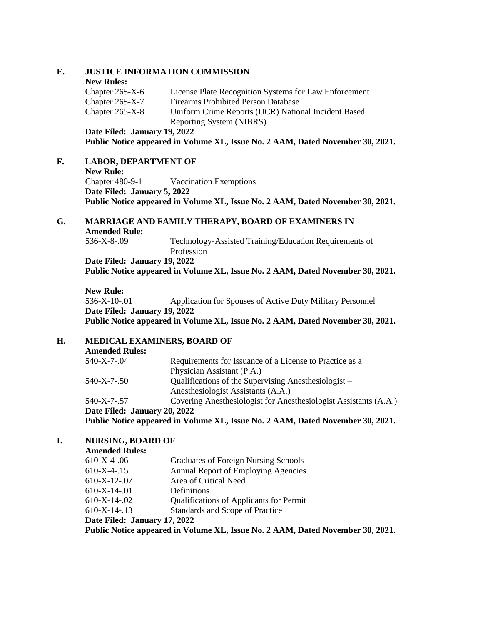## **E. JUSTICE INFORMATION COMMISSION**

#### **New Rules:**

| Chapter $265-X-6$ | License Plate Recognition Systems for Law Enforcement |
|-------------------|-------------------------------------------------------|
| Chapter $265-X-7$ | <b>Firearms Prohibited Person Database</b>            |
| Chapter $265-X-8$ | Uniform Crime Reports (UCR) National Incident Based   |
|                   | Reporting System (NIBRS)                              |
|                   |                                                       |

**Date Filed: January 19, 2022**

**Public Notice appeared in Volume XL, Issue No. 2 AAM, Dated November 30, 2021.**

# **F. LABOR, DEPARTMENT OF**

**New Rule:** Chapter 480-9-1 Vaccination Exemptions **Date Filed: January 5, 2022 Public Notice appeared in Volume XL, Issue No. 2 AAM, Dated November 30, 2021.**

## **G. MARRIAGE AND FAMILY THERAPY, BOARD OF EXAMINERS IN Amended Rule:**<br>536-X-8-.09 Technology-Assisted Training/Education Requirements of

Profession **Date Filed: January 19, 2022 Public Notice appeared in Volume XL, Issue No. 2 AAM, Dated November 30, 2021.**

**New Rule:** 536-X-10-.01 Application for Spouses of Active Duty Military Personnel **Date Filed: January 19, 2022 Public Notice appeared in Volume XL, Issue No. 2 AAM, Dated November 30, 2021.**

# **H. MEDICAL EXAMINERS, BOARD OF**

| <b>Amended Rules:</b>        |                                                                                |
|------------------------------|--------------------------------------------------------------------------------|
| 540-X-7-.04                  | Requirements for Issuance of a License to Practice as a                        |
|                              | Physician Assistant (P.A.)                                                     |
| 540-X-7-.50                  | Qualifications of the Supervising Anesthesiologist –                           |
|                              | Anesthesiologist Assistants (A.A.)                                             |
| 540-X-7-.57                  | Covering Anesthesiologist for Anesthesiologist Assistants (A.A.)               |
| Date Filed: January 20, 2022 |                                                                                |
|                              | Public Notice appeared in Volume XL, Issue No. 2 AAM, Dated November 30, 2021. |

## **I. NURSING, BOARD OF**

| Graduates of Foreign Nursing Schools                                           |  |  |
|--------------------------------------------------------------------------------|--|--|
| Annual Report of Employing Agencies                                            |  |  |
| Area of Critical Need                                                          |  |  |
| Definitions                                                                    |  |  |
| Qualifications of Applicants for Permit                                        |  |  |
| Standards and Scope of Practice                                                |  |  |
| Date Filed: January 17, 2022                                                   |  |  |
| Public Notice appeared in Volume XL, Issue No. 2 AAM, Dated November 30, 2021. |  |  |
|                                                                                |  |  |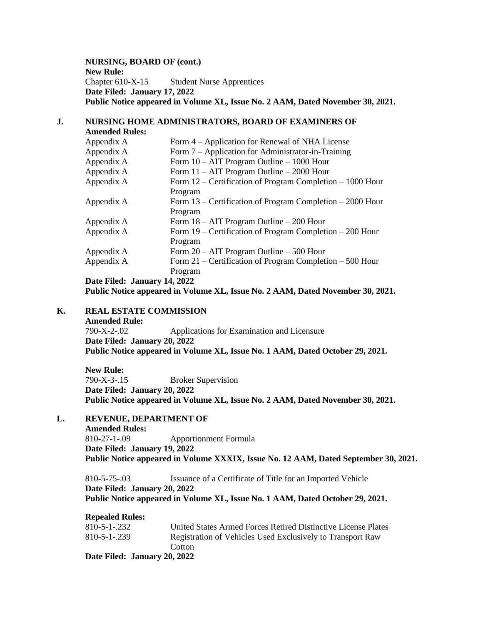**NURSING, BOARD OF (cont.) New Rule:** Chapter 610-X-15 Student Nurse Apprentices **Date Filed: January 17, 2022 Public Notice appeared in Volume XL, Issue No. 2 AAM, Dated November 30, 2021.**

#### **J. NURSING HOME ADMINISTRATORS, BOARD OF EXAMINERS OF Amended Rules:**

| Appendix A | Form 4 – Application for Renewal of NHA License             |
|------------|-------------------------------------------------------------|
| Appendix A | Form 7 – Application for Administrator-in-Training          |
| Appendix A | Form $10 - AIT$ Program Outline $- 1000$ Hour               |
| Appendix A | Form $11 - AIT$ Program Outline $-2000$ Hour                |
| Appendix A | Form 12 – Certification of Program Completion – 1000 Hour   |
|            | Program                                                     |
| Appendix A | Form $13$ – Certification of Program Completion – 2000 Hour |
|            | Program                                                     |
| Appendix A | Form $18 - AIT$ Program Outline $-200$ Hour                 |
| Appendix A | Form $19$ – Certification of Program Completion – 200 Hour  |
|            | Program                                                     |
| Appendix A | Form $20 - AIT$ Program Outline $-500$ Hour                 |
| Appendix A | Form $21$ – Certification of Program Completion – 500 Hour  |
|            | Program                                                     |

**Date Filed: January 14, 2022**

**Public Notice appeared in Volume XL, Issue No. 2 AAM, Dated November 30, 2021.**

## **K. REAL ESTATE COMMISSION**

**Amended Rule:** 790-X-2-.02 Applications for Examination and Licensure **Date Filed: January 20, 2022 Public Notice appeared in Volume XL, Issue No. 1 AAM, Dated October 29, 2021.**

**New Rule:** 790-X-3-.15 Broker Supervision **Date Filed: January 20, 2022 Public Notice appeared in Volume XL, Issue No. 2 AAM, Dated November 30, 2021.**

## **L. REVENUE, DEPARTMENT OF**

**Amended Rules:** 810-27-1-.09 Apportionment Formula **Date Filed: January 19, 2022 Public Notice appeared in Volume XXXIX, Issue No. 12 AAM, Dated September 30, 2021.**

810-5-75-.03 Issuance of a Certificate of Title for an Imported Vehicle **Date Filed: January 20, 2022 Public Notice appeared in Volume XL, Issue No. 1 AAM, Dated October 29, 2021.**

**Repealed Rules:** 810-5-1-.232 United States Armed Forces Retired Distinctive License Plates 810-5-1-.239 Registration of Vehicles Used Exclusively to Transport Raw **Cotton Date Filed: January 20, 2022**